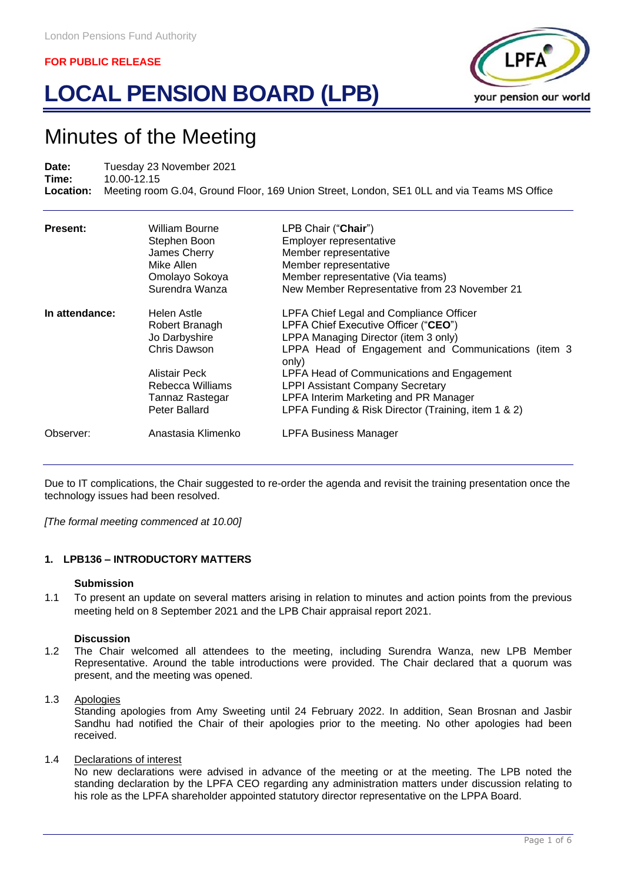# **LOCAL PENSION BOARD (LPB)**



## Minutes of the Meeting

**Date:** Tuesday 23 November 2021 **Time:** 10.00-12.15 **Location:** Meeting room G.04, Ground Floor, 169 Union Street, London, SE1 0LL and via Teams MS Office

| <b>Present:</b> | William Bourne<br>Stephen Boon<br>James Cherry<br>Mike Allen<br>Omolayo Sokoya<br>Surendra Wanza | LPB Chair ("Chair")<br>Employer representative<br>Member representative<br>Member representative<br>Member representative (Via teams)<br>New Member Representative from 23 November 21 |
|-----------------|--------------------------------------------------------------------------------------------------|----------------------------------------------------------------------------------------------------------------------------------------------------------------------------------------|
| In attendance:  | Helen Astle<br>Robert Branagh<br>Jo Darbyshire<br>Chris Dawson                                   | LPFA Chief Legal and Compliance Officer<br>LPFA Chief Executive Officer ("CEO")<br>LPPA Managing Director (item 3 only)<br>LPPA Head of Engagement and Communications (item 3<br>only) |
|                 | Alistair Peck<br>Rebecca Williams<br>Tannaz Rastegar<br>Peter Ballard                            | LPFA Head of Communications and Engagement<br><b>LPPI Assistant Company Secretary</b><br>LPFA Interim Marketing and PR Manager<br>LPFA Funding & Risk Director (Training, item 1 & 2)  |
| Observer:       | Anastasia Klimenko                                                                               | <b>LPFA Business Manager</b>                                                                                                                                                           |

Due to IT complications, the Chair suggested to re-order the agenda and revisit the training presentation once the technology issues had been resolved.

*[The formal meeting commenced at 10.00]*

#### **1. LPB136 – INTRODUCTORY MATTERS**

#### **Submission**

1.1 To present an update on several matters arising in relation to minutes and action points from the previous meeting held on 8 September 2021 and the LPB Chair appraisal report 2021.

#### **Discussion**

1.2 The Chair welcomed all attendees to the meeting, including Surendra Wanza, new LPB Member Representative. Around the table introductions were provided. The Chair declared that a quorum was present, and the meeting was opened.

#### 1.3 Apologies

Standing apologies from Amy Sweeting until 24 February 2022. In addition, Sean Brosnan and Jasbir Sandhu had notified the Chair of their apologies prior to the meeting. No other apologies had been received.

#### 1.4 Declarations of interest

No new declarations were advised in advance of the meeting or at the meeting. The LPB noted the standing declaration by the LPFA CEO regarding any administration matters under discussion relating to his role as the LPFA shareholder appointed statutory director representative on the LPPA Board.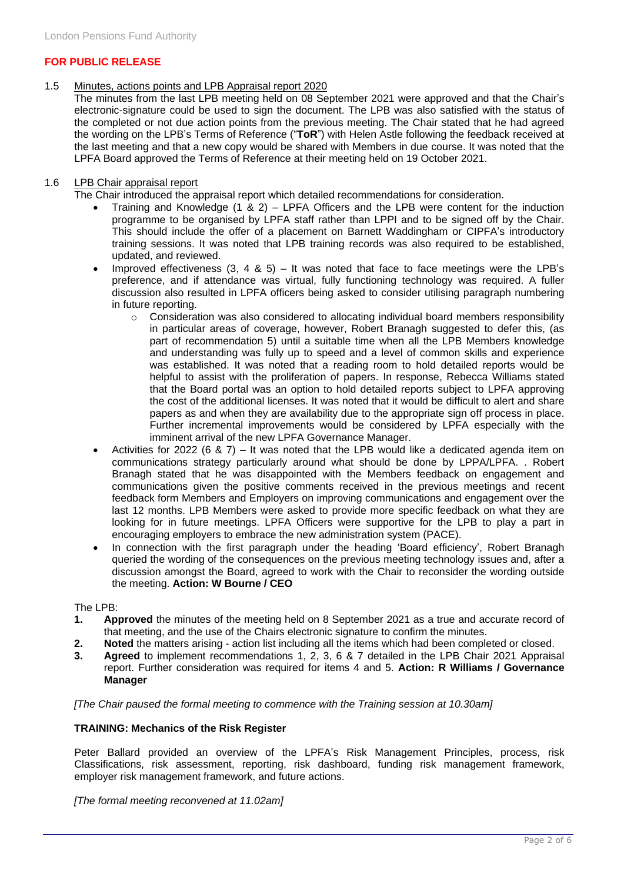#### 1.5 Minutes, actions points and LPB Appraisal report 2020

The minutes from the last LPB meeting held on 08 September 2021 were approved and that the Chair's electronic-signature could be used to sign the document. The LPB was also satisfied with the status of the completed or not due action points from the previous meeting. The Chair stated that he had agreed the wording on the LPB's Terms of Reference ("**ToR**") with Helen Astle following the feedback received at the last meeting and that a new copy would be shared with Members in due course. It was noted that the LPFA Board approved the Terms of Reference at their meeting held on 19 October 2021.

#### 1.6 LPB Chair appraisal report

The Chair introduced the appraisal report which detailed recommendations for consideration.

- Training and Knowledge (1 & 2) LPFA Officers and the LPB were content for the induction programme to be organised by LPFA staff rather than LPPI and to be signed off by the Chair. This should include the offer of a placement on Barnett Waddingham or CIPFA's introductory training sessions. It was noted that LPB training records was also required to be established, updated, and reviewed.
- Improved effectiveness  $(3, 4, 8, 5) -$  It was noted that face to face meetings were the LPB's preference, and if attendance was virtual, fully functioning technology was required. A fuller discussion also resulted in LPFA officers being asked to consider utilising paragraph numbering in future reporting.
	- $\circ$  Consideration was also considered to allocating individual board members responsibility in particular areas of coverage, however, Robert Branagh suggested to defer this, (as part of recommendation 5) until a suitable time when all the LPB Members knowledge and understanding was fully up to speed and a level of common skills and experience was established. It was noted that a reading room to hold detailed reports would be helpful to assist with the proliferation of papers. In response, Rebecca Williams stated that the Board portal was an option to hold detailed reports subject to LPFA approving the cost of the additional licenses. It was noted that it would be difficult to alert and share papers as and when they are availability due to the appropriate sign off process in place. Further incremental improvements would be considered by LPFA especially with the imminent arrival of the new LPFA Governance Manager.
- Activities for 2022 (6 & 7) It was noted that the LPB would like a dedicated agenda item on communications strategy particularly around what should be done by LPPA/LPFA. . Robert Branagh stated that he was disappointed with the Members feedback on engagement and communications given the positive comments received in the previous meetings and recent feedback form Members and Employers on improving communications and engagement over the last 12 months. LPB Members were asked to provide more specific feedback on what they are looking for in future meetings. LPFA Officers were supportive for the LPB to play a part in encouraging employers to embrace the new administration system (PACE).
- In connection with the first paragraph under the heading 'Board efficiency', Robert Branagh queried the wording of the consequences on the previous meeting technology issues and, after a discussion amongst the Board, agreed to work with the Chair to reconsider the wording outside the meeting. **Action: W Bourne / CEO**

#### The LPB:

- **1. Approved** the minutes of the meeting held on 8 September 2021 as a true and accurate record of that meeting, and the use of the Chairs electronic signature to confirm the minutes.
- **2. Noted** the matters arising action list including all the items which had been completed or closed.
- **3. Agreed** to implement recommendations 1, 2, 3, 6 & 7 detailed in the LPB Chair 2021 Appraisal report. Further consideration was required for items 4 and 5. **Action: R Williams / Governance Manager**

*[The Chair paused the formal meeting to commence with the Training session at 10.30am]*

#### **TRAINING: Mechanics of the Risk Register**

Peter Ballard provided an overview of the LPFA's Risk Management Principles, process, risk Classifications, risk assessment, reporting, risk dashboard, funding risk management framework, employer risk management framework, and future actions.

*[The formal meeting reconvened at 11.02am]*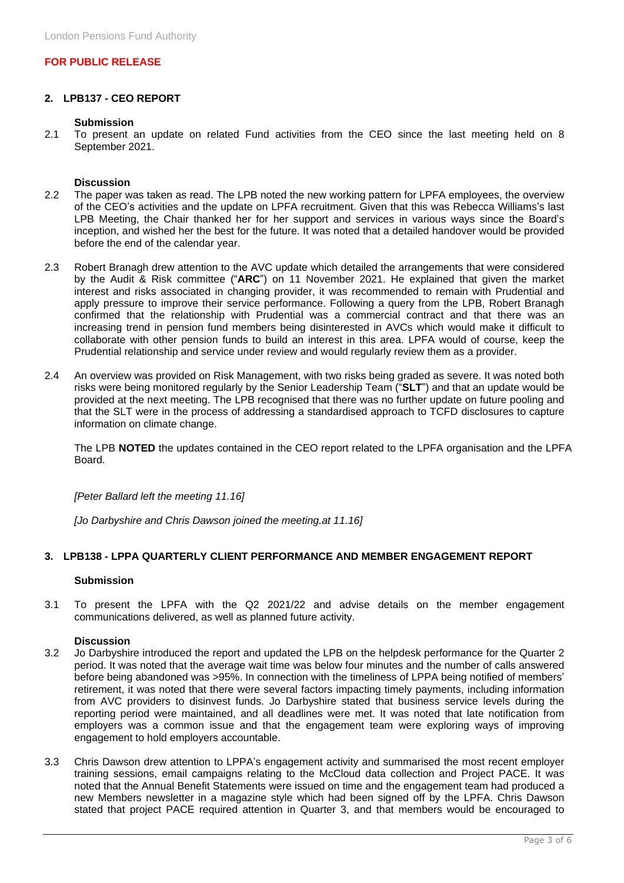#### **2. LPB137 - CEO REPORT**

#### **Submission**

2.1 To present an update on related Fund activities from the CEO since the last meeting held on 8 September 2021.

#### **Discussion**

- 2.2 The paper was taken as read. The LPB noted the new working pattern for LPFA employees, the overview of the CEO's activities and the update on LPFA recruitment. Given that this was Rebecca Williams's last LPB Meeting, the Chair thanked her for her support and services in various ways since the Board's inception, and wished her the best for the future. It was noted that a detailed handover would be provided before the end of the calendar year.
- 2.3 Robert Branagh drew attention to the AVC update which detailed the arrangements that were considered by the Audit & Risk committee ("**ARC**") on 11 November 2021. He explained that given the market interest and risks associated in changing provider, it was recommended to remain with Prudential and apply pressure to improve their service performance. Following a query from the LPB, Robert Branagh confirmed that the relationship with Prudential was a commercial contract and that there was an increasing trend in pension fund members being disinterested in AVCs which would make it difficult to collaborate with other pension funds to build an interest in this area. LPFA would of course, keep the Prudential relationship and service under review and would regularly review them as a provider.
- 2.4 An overview was provided on Risk Management, with two risks being graded as severe. It was noted both risks were being monitored regularly by the Senior Leadership Team ("**SLT**") and that an update would be provided at the next meeting. The LPB recognised that there was no further update on future pooling and that the SLT were in the process of addressing a standardised approach to TCFD disclosures to capture information on climate change.

The LPB **NOTED** the updates contained in the CEO report related to the LPFA organisation and the LPFA Board.

*[Peter Ballard left the meeting 11.16]*

*[Jo Darbyshire and Chris Dawson joined the meeting.at 11.16]*

#### **3. LPB138 - LPPA QUARTERLY CLIENT PERFORMANCE AND MEMBER ENGAGEMENT REPORT**

#### **Submission**

3.1 To present the LPFA with the Q2 2021/22 and advise details on the member engagement communications delivered, as well as planned future activity.

#### **Discussion**

- 3.2 Jo Darbyshire introduced the report and updated the LPB on the helpdesk performance for the Quarter 2 period. It was noted that the average wait time was below four minutes and the number of calls answered before being abandoned was >95%. In connection with the timeliness of LPPA being notified of members' retirement, it was noted that there were several factors impacting timely payments, including information from AVC providers to disinvest funds. Jo Darbyshire stated that business service levels during the reporting period were maintained, and all deadlines were met. It was noted that late notification from employers was a common issue and that the engagement team were exploring ways of improving engagement to hold employers accountable.
- 3.3 Chris Dawson drew attention to LPPA's engagement activity and summarised the most recent employer training sessions, email campaigns relating to the McCloud data collection and Project PACE. It was noted that the Annual Benefit Statements were issued on time and the engagement team had produced a new Members newsletter in a magazine style which had been signed off by the LPFA. Chris Dawson stated that project PACE required attention in Quarter 3, and that members would be encouraged to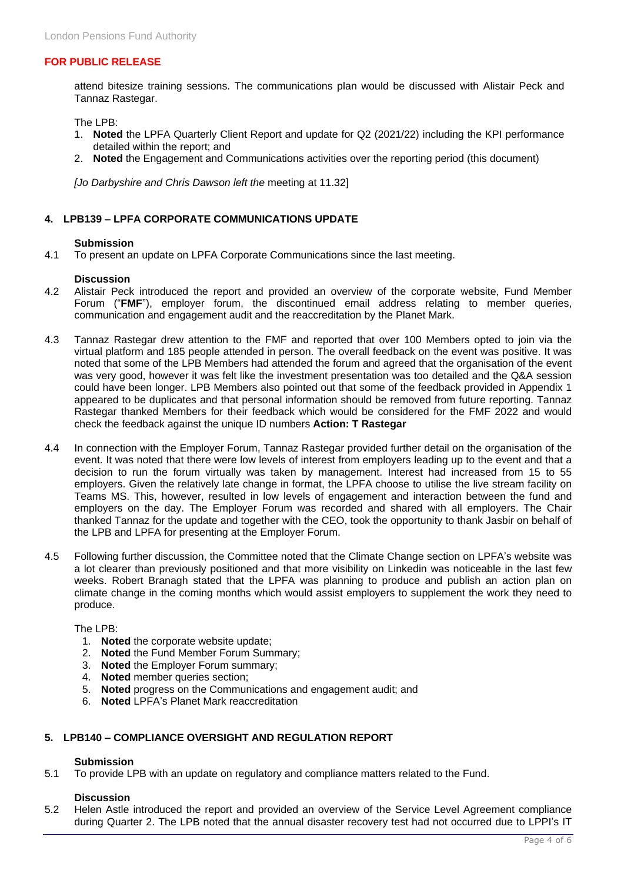attend bitesize training sessions. The communications plan would be discussed with Alistair Peck and Tannaz Rastegar.

The LPB:

- 1. **Noted** the LPFA Quarterly Client Report and update for Q2 (2021/22) including the KPI performance detailed within the report; and
- 2. **Noted** the Engagement and Communications activities over the reporting period (this document)

*[Jo Darbyshire and Chris Dawson left the* meeting at 11.32]

#### **4. LPB139 – LPFA CORPORATE COMMUNICATIONS UPDATE**

#### **Submission**

4.1 To present an update on LPFA Corporate Communications since the last meeting.

#### **Discussion**

- 4.2 Alistair Peck introduced the report and provided an overview of the corporate website, Fund Member Forum ("**FMF**"), employer forum, the discontinued email address relating to member queries, communication and engagement audit and the reaccreditation by the Planet Mark.
- 4.3 Tannaz Rastegar drew attention to the FMF and reported that over 100 Members opted to join via the virtual platform and 185 people attended in person. The overall feedback on the event was positive. It was noted that some of the LPB Members had attended the forum and agreed that the organisation of the event was very good, however it was felt like the investment presentation was too detailed and the Q&A session could have been longer. LPB Members also pointed out that some of the feedback provided in Appendix 1 appeared to be duplicates and that personal information should be removed from future reporting. Tannaz Rastegar thanked Members for their feedback which would be considered for the FMF 2022 and would check the feedback against the unique ID numbers **Action: T Rastegar**
- 4.4 In connection with the Employer Forum, Tannaz Rastegar provided further detail on the organisation of the event. It was noted that there were low levels of interest from employers leading up to the event and that a decision to run the forum virtually was taken by management. Interest had increased from 15 to 55 employers. Given the relatively late change in format, the LPFA choose to utilise the live stream facility on Teams MS. This, however, resulted in low levels of engagement and interaction between the fund and employers on the day. The Employer Forum was recorded and shared with all employers. The Chair thanked Tannaz for the update and together with the CEO, took the opportunity to thank Jasbir on behalf of the LPB and LPFA for presenting at the Employer Forum.
- 4.5 Following further discussion, the Committee noted that the Climate Change section on LPFA's website was a lot clearer than previously positioned and that more visibility on Linkedin was noticeable in the last few weeks. Robert Branagh stated that the LPFA was planning to produce and publish an action plan on climate change in the coming months which would assist employers to supplement the work they need to produce.

#### The LPB:

- 1. **Noted** the corporate website update;
- 2. **Noted** the Fund Member Forum Summary;
- 3. **Noted** the Employer Forum summary;
- 4. **Noted** member queries section;
- 5. **Noted** progress on the Communications and engagement audit; and
- 6. **Noted** LPFA's Planet Mark reaccreditation

#### **5. LPB140 – COMPLIANCE OVERSIGHT AND REGULATION REPORT**

#### **Submission**

5.1 To provide LPB with an update on regulatory and compliance matters related to the Fund.

#### **Discussion**

5.2 Helen Astle introduced the report and provided an overview of the Service Level Agreement compliance during Quarter 2. The LPB noted that the annual disaster recovery test had not occurred due to LPPI's IT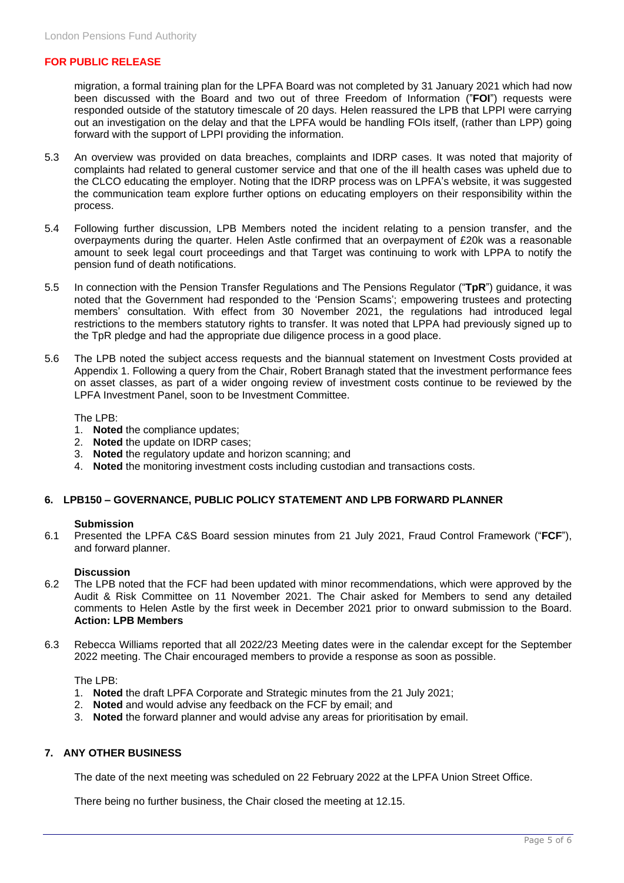migration, a formal training plan for the LPFA Board was not completed by 31 January 2021 which had now been discussed with the Board and two out of three Freedom of Information ("**FOI**") requests were responded outside of the statutory timescale of 20 days. Helen reassured the LPB that LPPI were carrying out an investigation on the delay and that the LPFA would be handling FOIs itself, (rather than LPP) going forward with the support of LPPI providing the information.

- 5.3 An overview was provided on data breaches, complaints and IDRP cases. It was noted that majority of complaints had related to general customer service and that one of the ill health cases was upheld due to the CLCO educating the employer. Noting that the IDRP process was on LPFA's website, it was suggested the communication team explore further options on educating employers on their responsibility within the process.
- 5.4 Following further discussion, LPB Members noted the incident relating to a pension transfer, and the overpayments during the quarter. Helen Astle confirmed that an overpayment of £20k was a reasonable amount to seek legal court proceedings and that Target was continuing to work with LPPA to notify the pension fund of death notifications.
- 5.5 In connection with the Pension Transfer Regulations and The Pensions Regulator ("**TpR**") guidance, it was noted that the Government had responded to the 'Pension Scams'; empowering trustees and protecting members' consultation. With effect from 30 November 2021, the regulations had introduced legal restrictions to the members statutory rights to transfer. It was noted that LPPA had previously signed up to the TpR pledge and had the appropriate due diligence process in a good place.
- 5.6 The LPB noted the subject access requests and the biannual statement on Investment Costs provided at Appendix 1. Following a query from the Chair, Robert Branagh stated that the investment performance fees on asset classes, as part of a wider ongoing review of investment costs continue to be reviewed by the LPFA Investment Panel, soon to be Investment Committee.

The LPB:

- 1. **Noted** the compliance updates;
- 2. **Noted** the update on IDRP cases;
- 3. **Noted** the regulatory update and horizon scanning; and
- 4. **Noted** the monitoring investment costs including custodian and transactions costs.

#### **6. LPB150 – GOVERNANCE, PUBLIC POLICY STATEMENT AND LPB FORWARD PLANNER**

#### **Submission**

6.1 Presented the LPFA C&S Board session minutes from 21 July 2021, Fraud Control Framework ("**FCF**"), and forward planner.

#### **Discussion**

- 6.2 The LPB noted that the FCF had been updated with minor recommendations, which were approved by the Audit & Risk Committee on 11 November 2021. The Chair asked for Members to send any detailed comments to Helen Astle by the first week in December 2021 prior to onward submission to the Board. **Action: LPB Members**
- 6.3 Rebecca Williams reported that all 2022/23 Meeting dates were in the calendar except for the September 2022 meeting. The Chair encouraged members to provide a response as soon as possible.

The LPB:

- 1. **Noted** the draft LPFA Corporate and Strategic minutes from the 21 July 2021;
- 2. **Noted** and would advise any feedback on the FCF by email; and
- 3. **Noted** the forward planner and would advise any areas for prioritisation by email.

#### **7. ANY OTHER BUSINESS**

The date of the next meeting was scheduled on 22 February 2022 at the LPFA Union Street Office.

There being no further business, the Chair closed the meeting at 12.15.